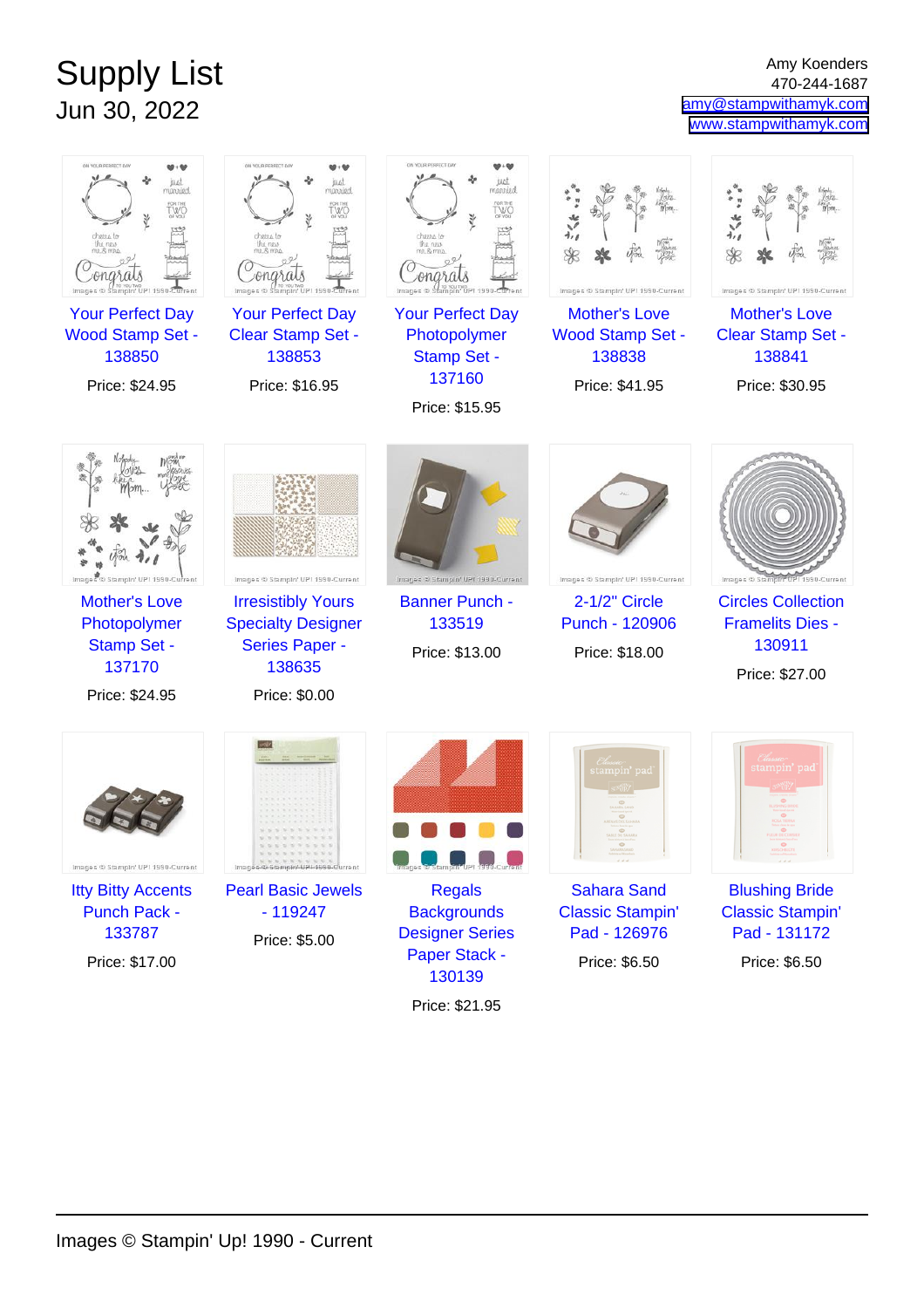## Supply List Jun 30, 2022

Amy Koenders 470-244-1687 [amy@stampwithamyk.com](mailto:amy@stampwithamyk.com) [www.stampwithamyk.com](http://www.stampwithamyk.com)